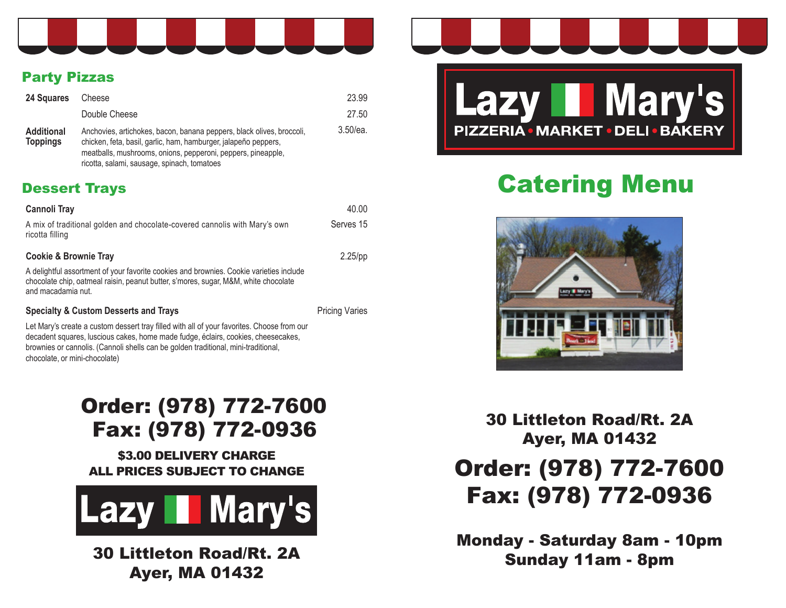

### Party Pizzas

| 24 Squares                           | Cheese                                                                                                                                                                                                                                                  | 23.99       |
|--------------------------------------|---------------------------------------------------------------------------------------------------------------------------------------------------------------------------------------------------------------------------------------------------------|-------------|
|                                      | Double Cheese                                                                                                                                                                                                                                           | 27.50       |
| <b>Additional</b><br><b>Toppings</b> | Anchovies, artichokes, bacon, banana peppers, black olives, broccoli,<br>chicken, feta, basil, garlic, ham, hamburger, jalapeño peppers,<br>meatballs, mushrooms, onions, pepperoni, peppers, pineapple,<br>ricotta, salami, sausage, spinach, tomatoes | $3.50$ /ea. |

### Dessert Trays

| Cannoli Tray                                                                                                                                                                                         | 40.00      |
|------------------------------------------------------------------------------------------------------------------------------------------------------------------------------------------------------|------------|
| A mix of traditional golden and chocolate-covered cannolis with Mary's own<br>ricotta filling                                                                                                        | Serves 15  |
| <b>Cookie &amp; Brownie Tray</b>                                                                                                                                                                     | $2.25$ /pp |
| A delightful assortment of your favorite cookies and brownies. Cookie varieties include<br>chocolate chip, oatmeal raisin, peanut butter, s'mores, sugar, M&M, white chocolate<br>and macadamia nut. |            |

**Specialty & Custom Desserts and Trays Pricing Varies** Pricing Varies

Let Mary's create a custom dessert tray filled with all of your favorites. Choose from our decadent squares, luscious cakes, home made fudge, éclairs, cookies, cheesecakes, brownies or cannolis. (Cannoli shells can be golden traditional, mini-traditional, chocolate, or mini-chocolate)

## Order: (978) 772-7600 Fax: (978) 772-0936

\$3.00 DELIVERY CHARGE ALL PRICES SUBJECT TO CHANGE



30 Littleton Road/Rt. 2A Ayer, MA 01432



# Catering Menu



30 Littleton Road/Rt. 2A Ayer, MA 01432

# Order: (978) 772-7600 Fax: (978) 772-0936

Monday - Saturday 8am - 10pm Sunday 11am - 8pm